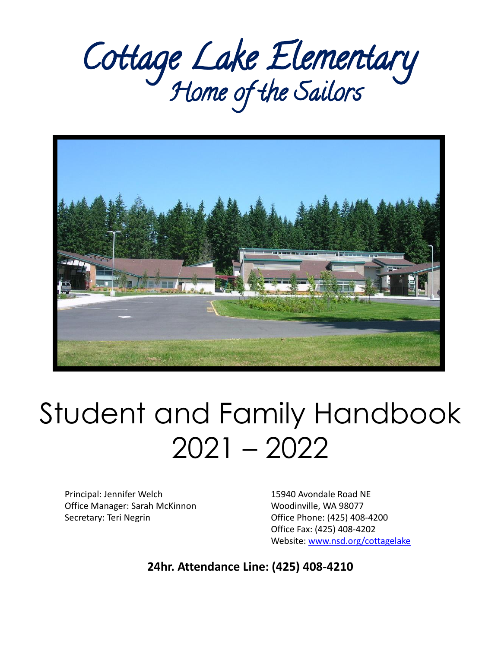# Cottage Lake Elementary Home of the Sailors



## Student and Family Handbook 2021 – 2022

Principal: Jennifer Welch 15940 Avondale Road NE Office Manager: Sarah McKinnon Woodinville, WA 98077 Secretary: Teri Negrin Office Phone: (425) 408-4200

Office Fax: (425) 408-4202 Website: [www.nsd.org/cottagelake](http://www.nsd.org/cottagelake)

**24hr. Attendance Line: (425) 408-4210**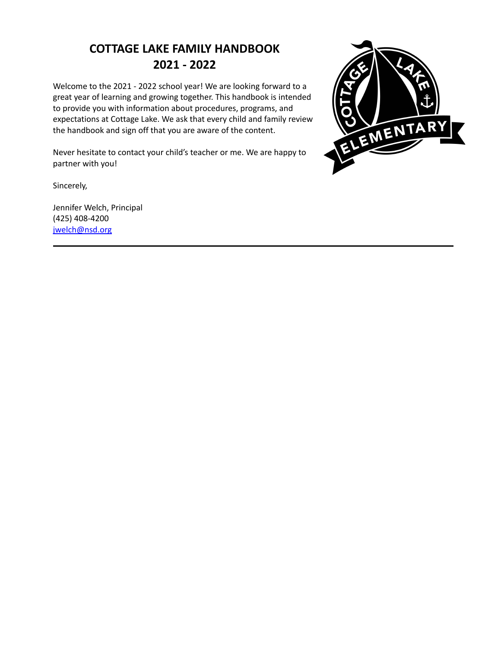## **COTTAGE LAKE FAMILY HANDBOOK 2021 - 2022**

Welcome to the 2021 - 2022 school year! We are looking forward to a great year of learning and growing together. This handbook is intended to provide you with information about procedures, programs, and expectations at Cottage Lake. We ask that every child and family review the handbook and sign off that you are aware of the content.

Never hesitate to contact your child's teacher or me. We are happy to partner with you!

Sincerely,

Jennifer Welch, Principal (425) 408-4200 [jwelch@nsd.org](mailto:jwelch@nsd.org)

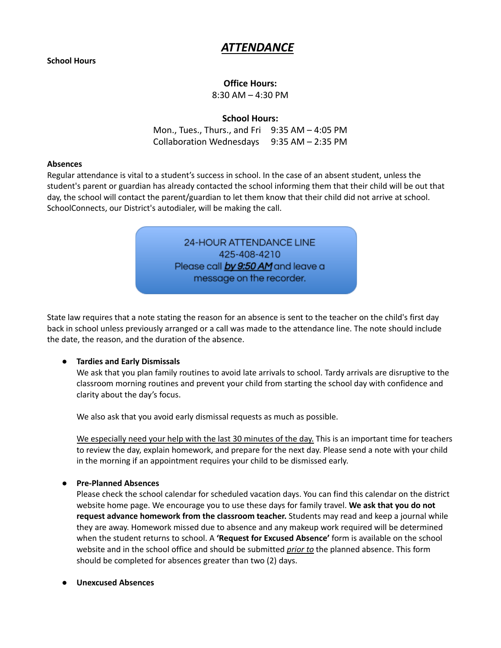### *ATTENDANCE*

#### **Office Hours:**

8:30 AM – 4:30 PM

#### **School Hours:**

Mon., Tues., Thurs., and Fri 9:35 AM – 4:05 PM Collaboration Wednesdays 9:35 AM – 2:35 PM

#### **Absences**

Regular attendance is vital to a student's success in school. In the case of an absent student, unless the student's parent or guardian has already contacted the school informing them that their child will be out that day, the school will contact the parent/guardian to let them know that their child did not arrive at school. SchoolConnects, our District's autodialer, will be making the call.

> 24-HOUR ATTENDANCE LINE 425-408-4210 Please call by 9:50 AM and leave a message on the recorder.

State law requires that a note stating the reason for an absence is sent to the teacher on the child's first day back in school unless previously arranged or a call was made to the attendance line. The note should include the date, the reason, and the duration of the absence.

#### **● Tardies and Early Dismissals**

We ask that you plan family routines to avoid late arrivals to school. Tardy arrivals are disruptive to the classroom morning routines and prevent your child from starting the school day with confidence and clarity about the day's focus.

We also ask that you avoid early dismissal requests as much as possible.

We especially need your help with the last 30 minutes of the day. This is an important time for teachers to review the day, explain homework, and prepare for the next day. Please send a note with your child in the morning if an appointment requires your child to be dismissed early.

#### **● Pre-Planned Absences**

Please check the school calendar for scheduled vacation days. You can find this calendar on the district website home page. We encourage you to use these days for family travel. **We ask that you do not request advance homework from the classroom teacher.** Students may read and keep a journal while they are away. Homework missed due to absence and any makeup work required will be determined when the student returns to school. A **'Request for Excused Absence'** form is available on the school website and in the school office and should be submitted *prior to* the planned absence. This form should be completed for absences greater than two (2) days.

#### **● Unexcused Absences**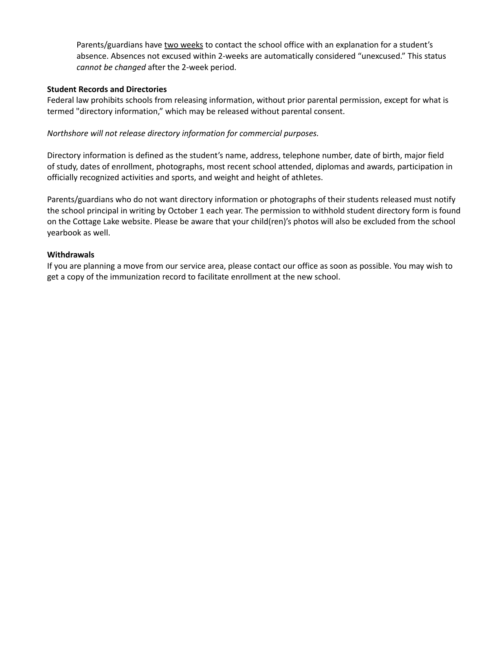Parents/guardians have two weeks to contact the school office with an explanation for a student's absence. Absences not excused within 2-weeks are automatically considered "unexcused." This status *cannot be changed* after the 2-week period.

#### **Student Records and Directories**

Federal law prohibits schools from releasing information, without prior parental permission, except for what is termed "directory information," which may be released without parental consent.

#### *Northshore will not release directory information for commercial purposes.*

Directory information is defined as the student's name, address, telephone number, date of birth, major field of study, dates of enrollment, photographs, most recent school attended, diplomas and awards, participation in officially recognized activities and sports, and weight and height of athletes.

Parents/guardians who do not want directory information or photographs of their students released must notify the school principal in writing by October 1 each year. The permission to withhold student directory form is found on the Cottage Lake website. Please be aware that your child(ren)'s photos will also be excluded from the school yearbook as well.

#### **Withdrawals**

If you are planning a move from our service area, please contact our office as soon as possible. You may wish to get a copy of the immunization record to facilitate enrollment at the new school.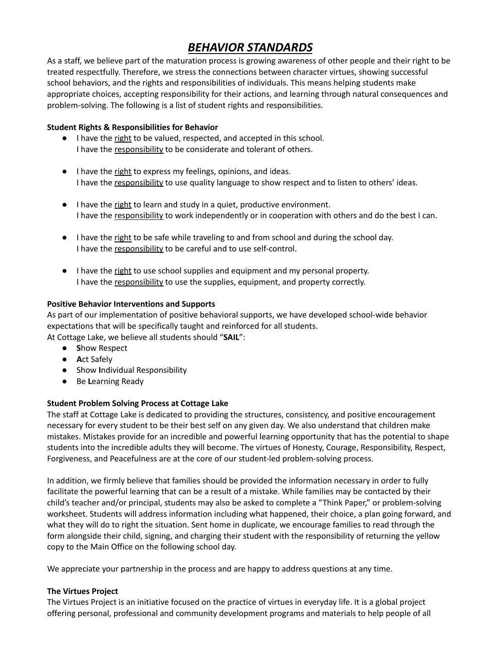## *BEHAVIOR STANDARDS*

As a staff, we believe part of the maturation process is growing awareness of other people and their right to be treated respectfully. Therefore, we stress the connections between character virtues, showing successful school behaviors, and the rights and responsibilities of individuals. This means helping students make appropriate choices, accepting responsibility for their actions, and learning through natural consequences and problem-solving. The following is a list of student rights and responsibilities.

#### **Student Rights & Responsibilities for Behavior**

- I have the right to be valued, respected, and accepted in this school. I have the responsibility to be considerate and tolerant of others.
- I have the right to express my feelings, opinions, and ideas. I have the responsibility to use quality language to show respect and to listen to others' ideas.
- I have the right to learn and study in a quiet, productive environment. I have the responsibility to work independently or in cooperation with others and do the best I can.
- I have the right to be safe while traveling to and from school and during the school day. I have the responsibility to be careful and to use self-control.
- I have the right to use school supplies and equipment and my personal property. I have the responsibility to use the supplies, equipment, and property correctly.

#### **Positive Behavior Interventions and Supports**

As part of our implementation of positive behavioral supports, we have developed school-wide behavior expectations that will be specifically taught and reinforced for all students.

At Cottage Lake, we believe all students should "**SAIL**":

- **S**how Respect
- **A**ct Safely
- Show **I**ndividual Responsibility
- Be **L**earning Ready

#### **Student Problem Solving Process at Cottage Lake**

The staff at Cottage Lake is dedicated to providing the structures, consistency, and positive encouragement necessary for every student to be their best self on any given day. We also understand that children make mistakes. Mistakes provide for an incredible and powerful learning opportunity that has the potential to shape students into the incredible adults they will become. The virtues of Honesty, Courage, Responsibility, Respect, Forgiveness, and Peacefulness are at the core of our student-led problem-solving process.

In addition, we firmly believe that families should be provided the information necessary in order to fully facilitate the powerful learning that can be a result of a mistake. While families may be contacted by their child's teacher and/or principal, students may also be asked to complete a "Think Paper," or problem-solving worksheet. Students will address information including what happened, their choice, a plan going forward, and what they will do to right the situation. Sent home in duplicate, we encourage families to read through the form alongside their child, signing, and charging their student with the responsibility of returning the yellow copy to the Main Office on the following school day.

We appreciate your partnership in the process and are happy to address questions at any time.

#### **The Virtues Project**

The Virtues Project is an initiative focused on the practice of virtues in everyday life. It is a global project offering personal, professional and community development programs and materials to help people of all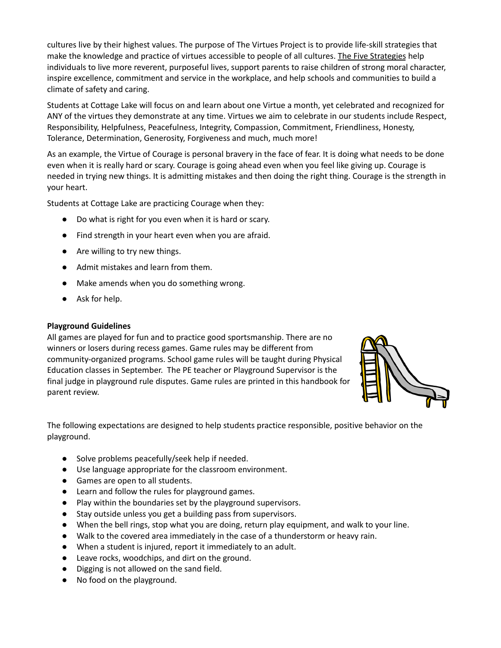cultures live by their highest values. The purpose of The Virtues Project is to provide life-skill strategies that make the knowledge and practice of virtues accessible to people of all cultures. The Five [Strategies](http://www.virtuesproject.com/strategies.html) help individuals to live more reverent, purposeful lives, support parents to raise children of strong moral character, inspire excellence, commitment and service in the workplace, and help schools and communities to build a climate of safety and caring.

Students at Cottage Lake will focus on and learn about one Virtue a month, yet celebrated and recognized for ANY of the virtues they demonstrate at any time. Virtues we aim to celebrate in our students include Respect, Responsibility, Helpfulness, Peacefulness, Integrity, Compassion, Commitment, Friendliness, Honesty, Tolerance, Determination, Generosity, Forgiveness and much, much more!

As an example, the Virtue of Courage is personal bravery in the face of fear. It is doing what needs to be done even when it is really hard or scary. Courage is going ahead even when you feel like giving up. Courage is needed in trying new things. It is admitting mistakes and then doing the right thing. Courage is the strength in your heart.

Students at Cottage Lake are practicing Courage when they:

- Do what is right for you even when it is hard or scary.
- Find strength in your heart even when you are afraid.
- Are willing to try new things.
- Admit mistakes and learn from them.
- Make amends when you do something wrong.
- Ask for help.

#### **Playground Guidelines**

All games are played for fun and to practice good sportsmanship. There are no winners or losers during recess games. Game rules may be different from community-organized programs. School game rules will be taught during Physical Education classes in September. The PE teacher or Playground Supervisor is the final judge in playground rule disputes. Game rules are printed in this handbook for parent review.



The following expectations are designed to help students practice responsible, positive behavior on the playground.

- Solve problems peacefully/seek help if needed.
- Use language appropriate for the classroom environment.
- Games are open to all students.
- Learn and follow the rules for playground games.
- Play within the boundaries set by the playground supervisors.
- Stay outside unless you get a building pass from supervisors.
- When the bell rings, stop what you are doing, return play equipment, and walk to your line.
- Walk to the covered area immediately in the case of a thunderstorm or heavy rain.
- When a student is injured, report it immediately to an adult.
- Leave rocks, woodchips, and dirt on the ground.
- Digging is not allowed on the sand field.
- No food on the playground.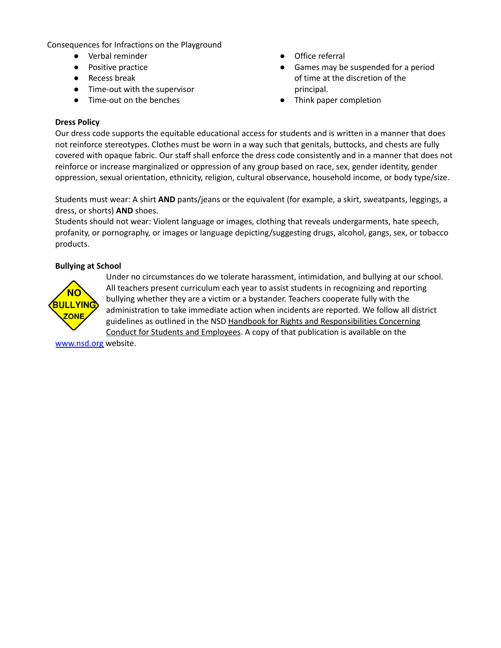Consequences for Infractions on the Playground

- Verbal reminder
- Positive practice
- Recess break
- Time-out with the supervisor
- Time-out on the benches
- Office referral
- Games may be suspended for a period of time at the discretion of the principal.
- Think paper completion

#### **Dress Policy**

Our dress code supports the equitable educational access for students and is written in a manner that does not reinforce stereotypes. Clothes must be worn in a way such that genitals, buttocks, and chests are fully covered with opaque fabric. Our staff shall enforce the dress code consistently and in a manner that does not reinforce or increase marginalized or oppression of any group based on race, sex, gender identity, gender oppression, sexual orientation, ethnicity, religion, cultural observance, household income, or body type/size.

Students must wear: A shirt **AND** pants/jeans or the equivalent (for example, a skirt, sweatpants, leggings, a dress, or shorts) **AND** shoes.

Students should not wear: Violent language or images, clothing that reveals undergarments, hate speech, profanity, or pornography, or images or language depicting/suggesting drugs, alcohol, gangs, sex, or tobacco products.

#### **Bullying at School**



Under no circumstances do we tolerate harassment, intimidation, and bullying at our school. All teachers present curriculum each year to assist students in recognizing and reporting bullying whether they are a victim or a bystander. Teachers cooperate fully with the administration to take immediate action when incidents are reported. We follow all district guidelines as outlined in the NSD Handbook for Rights and Responsibilities Concerning Conduct for Students and Employees. A copy of that publication is available on the

[www.nsd.org](http://www.nsd.org) website.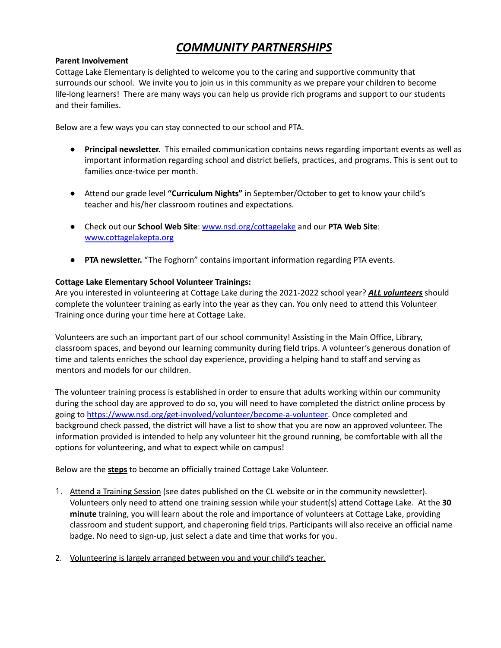## *COMMUNITY PARTNERSHIPS*

#### **Parent Involvement**

Cottage Lake Elementary is delighted to welcome you to the caring and supportive community that surrounds our school. We invite you to join us in this community as we prepare your children to become life-long learners! There are many ways you can help us provide rich programs and support to our students and their families.

Below are a few ways you can stay connected to our school and PTA.

- **Principal newsletter.** This emailed communication contains news regarding important events as well as important information regarding school and district beliefs, practices, and programs. This is sent out to families once-twice per month.
- Attend our grade level **"Curriculum Nights"** in September/October to get to know your child's teacher and his/her classroom routines and expectations.
- Check out our **School Web Site**: [www.nsd.org/cottagelake](http://www.nsd.org/cottagelake) and our **PTA Web Site**: [www.cottagelakepta.org](http://www.cottagelakepta.org)
- **PTA newsletter.** "The Foghorn" contains important information regarding PTA events.

#### **Cottage Lake Elementary School Volunteer Trainings:**

Are you interested in volunteering at Cottage Lake during the 2021-2022 school year? *ALL volunteers* should complete the volunteer training as early into the year as they can. You only need to attend this Volunteer Training once during your time here at Cottage Lake.

Volunteers are such an important part of our school community! Assisting in the Main Office, Library, classroom spaces, and beyond our learning community during field trips. A volunteer's generous donation of time and talents enriches the school day experience, providing a helping hand to staff and serving as mentors and models for our children.

The volunteer training process is established in order to ensure that adults working within our community during the school day are approved to do so, you will need to have completed the district online process by going to [https://www.nsd.org/get-involved/volunteer/become-a-volunteer.](https://www.nsd.org/get-involved/volunteer/become-a-volunteer) Once completed and background check passed, the district will have a list to show that you are now an approved volunteer. The information provided is intended to help any volunteer hit the ground running, be comfortable with all the options for volunteering, and what to expect while on campus!

Below are the **steps** to become an officially trained Cottage Lake Volunteer.

- 1. Attend a Training Session (see dates published on the CL website or in the community newsletter). Volunteers only need to attend one training session while your student(s) attend Cottage Lake. At the **30 minute** training, you will learn about the role and importance of volunteers at Cottage Lake, providing classroom and student support, and chaperoning field trips. Participants will also receive an official name badge. No need to sign-up, just select a date and time that works for you.
- 2. Volunteering is largely arranged between you and your child's teacher.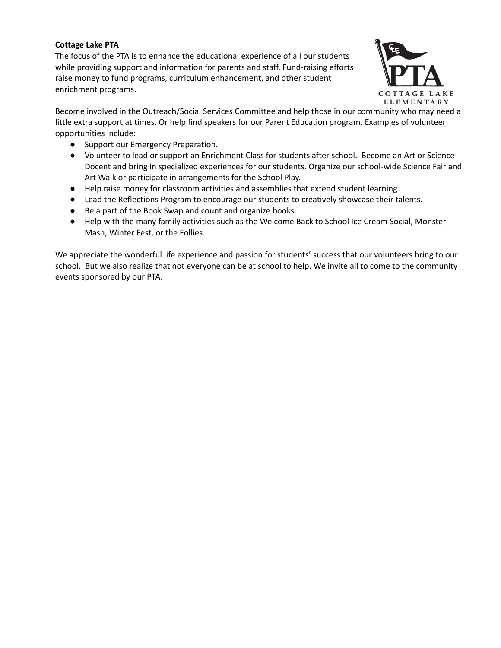#### **Cottage Lake PTA**

The focus of the PTA is to enhance the educational experience of all our students while providing support and information for parents and staff. Fund-raising efforts raise money to fund programs, curriculum enhancement, and other student enrichment programs.



Become involved in the Outreach/Social Services Committee and help those in our community who may need a little extra support at times. Or help find speakers for our Parent Education program. Examples of volunteer opportunities include:

- Support our Emergency Preparation.
- Volunteer to lead or support an Enrichment Class for students after school. Become an Art or Science Docent and bring in specialized experiences for our students. Organize our school-wide Science Fair and Art Walk or participate in arrangements for the School Play.
- Help raise money for classroom activities and assemblies that extend student learning.
- Lead the Reflections Program to encourage our students to creatively showcase their talents.
- Be a part of the Book Swap and count and organize books.
- Help with the many family activities such as the Welcome Back to School Ice Cream Social, Monster Mash, Winter Fest, or the Follies.

We appreciate the wonderful life experience and passion for students' success that our volunteers bring to our school. But we also realize that not everyone can be at school to help. We invite all to come to the community events sponsored by our PTA.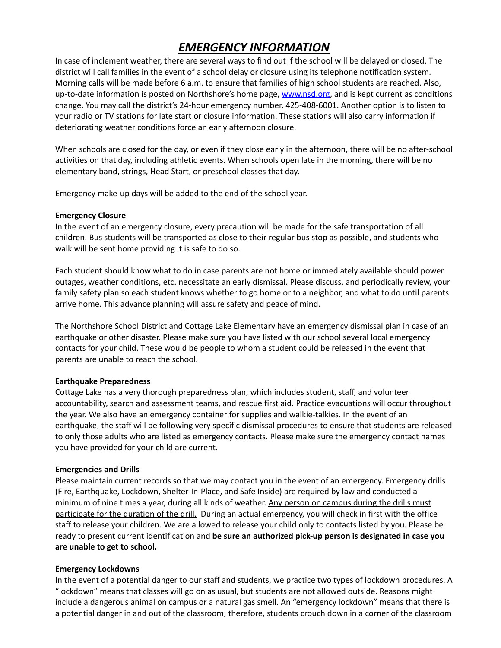## *EMERGENCY INFORMATION*

In case of inclement weather, there are several ways to find out if the school will be delayed or closed. The district will call families in the event of a school delay or closure using its telephone notification system. Morning calls will be made before 6 a.m. to ensure that families of high school students are reached. Also, up-to-date information is posted on Northshore's home page, [www.nsd.org](http://www.nsd.org), and is kept current as conditions change. You may call the district's 24-hour emergency number, 425-408-6001. Another option is to listen to your radio or TV stations for late start or closure information. These stations will also carry information if deteriorating weather conditions force an early afternoon closure.

When schools are closed for the day, or even if they close early in the afternoon, there will be no after-school activities on that day, including athletic events. When schools open late in the morning, there will be no elementary band, strings, Head Start, or preschool classes that day.

Emergency make-up days will be added to the end of the school year.

#### **Emergency Closure**

In the event of an emergency closure, every precaution will be made for the safe transportation of all children. Bus students will be transported as close to their regular bus stop as possible, and students who walk will be sent home providing it is safe to do so.

Each student should know what to do in case parents are not home or immediately available should power outages, weather conditions, etc. necessitate an early dismissal. Please discuss, and periodically review, your family safety plan so each student knows whether to go home or to a neighbor, and what to do until parents arrive home. This advance planning will assure safety and peace of mind.

The Northshore School District and Cottage Lake Elementary have an emergency dismissal plan in case of an earthquake or other disaster. Please make sure you have listed with our school several local emergency contacts for your child. These would be people to whom a student could be released in the event that parents are unable to reach the school.

#### **Earthquake Preparedness**

Cottage Lake has a very thorough preparedness plan, which includes student, staff, and volunteer accountability, search and assessment teams, and rescue first aid. Practice evacuations will occur throughout the year. We also have an emergency container for supplies and walkie-talkies. In the event of an earthquake, the staff will be following very specific dismissal procedures to ensure that students are released to only those adults who are listed as emergency contacts. Please make sure the emergency contact names you have provided for your child are current.

#### **Emergencies and Drills**

Please maintain current records so that we may contact you in the event of an emergency. Emergency drills (Fire, Earthquake, Lockdown, Shelter-In-Place, and Safe Inside) are required by law and conducted a minimum of nine times a year, during all kinds of weather. Any person on campus during the drills must participate for the duration of the drill. During an actual emergency, you will check in first with the office staff to release your children. We are allowed to release your child only to contacts listed by you. Please be ready to present current identification and **be sure an authorized pick-up person is designated in case you are unable to get to school.**

#### **Emergency Lockdowns**

In the event of a potential danger to our staff and students, we practice two types of lockdown procedures. A "lockdown" means that classes will go on as usual, but students are not allowed outside. Reasons might include a dangerous animal on campus or a natural gas smell. An "emergency lockdown" means that there is a potential danger in and out of the classroom; therefore, students crouch down in a corner of the classroom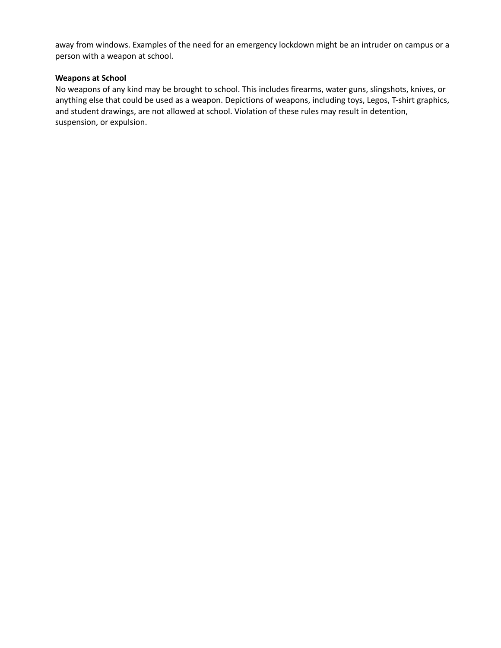away from windows. Examples of the need for an emergency lockdown might be an intruder on campus or a person with a weapon at school.

#### **Weapons at School**

No weapons of any kind may be brought to school. This includes firearms, water guns, slingshots, knives, or anything else that could be used as a weapon. Depictions of weapons, including toys, Legos, T-shirt graphics, and student drawings, are not allowed at school. Violation of these rules may result in detention, suspension, or expulsion.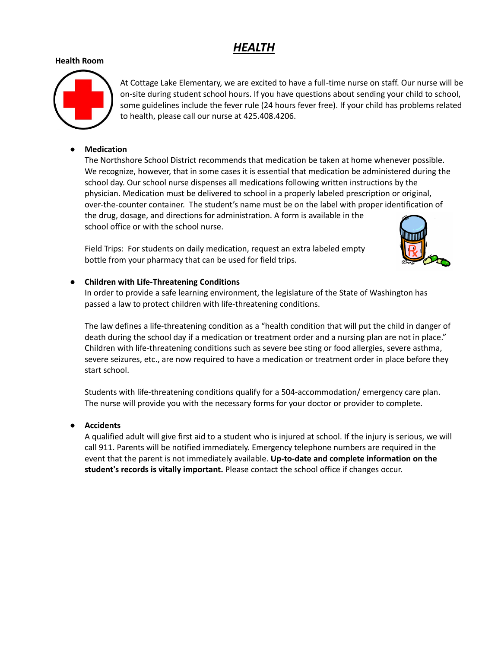## *HEALTH*

#### **Health Room**



At Cottage Lake Elementary, we are excited to have a full-time nurse on staff. Our nurse will be on-site during student school hours. If you have questions about sending your child to school, some guidelines include the fever rule (24 hours fever free). If your child has problems related to health, please call our nurse at 425.408.4206.

#### **● Medication**

The Northshore School District recommends that medication be taken at home whenever possible. We recognize, however, that in some cases it is essential that medication be administered during the school day. Our school nurse dispenses all medications following written instructions by the physician. Medication must be delivered to school in a properly labeled prescription or original, over-the-counter container. The student's name must be on the label with proper identification of the drug, dosage, and directions for administration. A form is available in the school office or with the school nurse.

Field Trips: For students on daily medication, request an extra labeled empty bottle from your pharmacy that can be used for field trips.



#### **● Children with Life-Threatening Conditions**

In order to provide a safe learning environment, the legislature of the State of Washington has passed a law to protect children with life-threatening conditions.

The law defines a life-threatening condition as a "health condition that will put the child in danger of death during the school day if a medication or treatment order and a nursing plan are not in place." Children with life-threatening conditions such as severe bee sting or food allergies, severe asthma, severe seizures, etc., are now required to have a medication or treatment order in place before they start school.

Students with life-threatening conditions qualify for a 504-accommodation/ emergency care plan. The nurse will provide you with the necessary forms for your doctor or provider to complete.

#### **● Accidents**

A qualified adult will give first aid to a student who is injured at school. If the injury is serious, we will call 911. Parents will be notified immediately. Emergency telephone numbers are required in the event that the parent is not immediately available. **Up-to-date and complete information on the student's records is vitally important.** Please contact the school office if changes occur.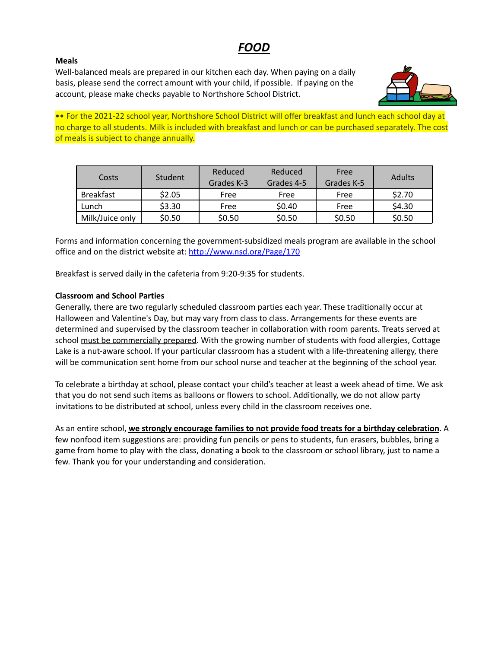## *FOOD*

#### **Meals**

Well-balanced meals are prepared in our kitchen each day. When paying on a daily basis, please send the correct amount with your child, if possible. If paying on the account, please make checks payable to Northshore School District.



•• For the 2021-22 school year, Northshore School District will offer breakfast and lunch each school day at no charge to all students. Milk is included with breakfast and lunch or can be purchased separately. The cost of meals is subject to change annually.

| Costs           | Student | Reduced<br>Grades K-3 | Reduced<br>Grades 4-5 | Free<br>Grades K-5 | Adults |
|-----------------|---------|-----------------------|-----------------------|--------------------|--------|
| Breakfast       | \$2.05  | Free                  | Free                  | Free               | \$2.70 |
| Lunch           | \$3.30  | Free                  | \$0.40                | Free               | \$4.30 |
| Milk/Juice only | \$0.50  | \$0.50                | \$0.50                | \$0.50             | \$0.50 |

Forms and information concerning the government-subsidized meals program are available in the school office and on the district website at: <http://www.nsd.org/Page/170>

Breakfast is served daily in the cafeteria from 9:20-9:35 for students.

#### **Classroom and School Parties**

Generally, there are two regularly scheduled classroom parties each year. These traditionally occur at Halloween and Valentine's Day, but may vary from class to class. Arrangements for these events are determined and supervised by the classroom teacher in collaboration with room parents. Treats served at school must be commercially prepared. With the growing number of students with food allergies, Cottage Lake is a nut-aware school. If your particular classroom has a student with a life-threatening allergy, there will be communication sent home from our school nurse and teacher at the beginning of the school year.

To celebrate a birthday at school, please contact your child's teacher at least a week ahead of time. We ask that you do not send such items as balloons or flowers to school. Additionally, we do not allow party invitations to be distributed at school, unless every child in the classroom receives one.

As an entire school, **we strongly encourage families to not provide food treats for a birthday celebration**. A few nonfood item suggestions are: providing fun pencils or pens to students, fun erasers, bubbles, bring a game from home to play with the class, donating a book to the classroom or school library, just to name a few. Thank you for your understanding and consideration.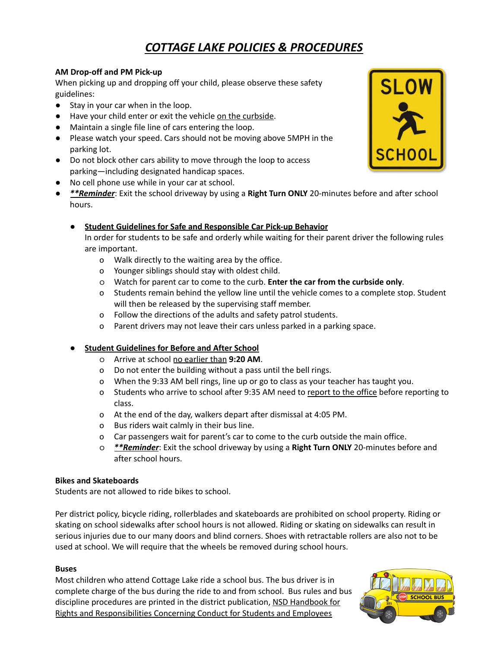## *COTTAGE LAKE POLICIES & PROCEDURES*

#### **AM Drop-off and PM Pick-up**

When picking up and dropping off your child, please observe these safety guidelines:

- Stay in your car when in the loop.
- Have your child enter or exit the vehicle on the curbside.
- Maintain a single file line of cars entering the loop.
- Please watch your speed. Cars should not be moving above 5MPH in the parking lot.
- **●** Do not block other cars ability to move through the loop to access parking—including designated handicap spaces.
- **●** No cell phone use while in your car at school.
- **●** *\*\*Reminder*: Exit the school driveway by using a **Right Turn ONLY** 20-minutes before and after school hours.
	- **● Student Guidelines for Safe and Responsible Car Pick-up Behavior**

In order for students to be safe and orderly while waiting for their parent driver the following rules are important.

- o Walk directly to the waiting area by the office.
- o Younger siblings should stay with oldest child.
- o Watch for parent car to come to the curb. **Enter the car from the curbside only**.
- o Students remain behind the yellow line until the vehicle comes to a complete stop. Student will then be released by the supervising staff member.
- o Follow the directions of the adults and safety patrol students.
- o Parent drivers may not leave their cars unless parked in a parking space.

#### **● Student Guidelines for Before and After School**

- o Arrive at school no earlier than **9:20 AM**.
- o Do not enter the building without a pass until the bell rings.
- o When the 9:33 AM bell rings, line up or go to class as your teacher has taught you.
- o Students who arrive to school after 9:35 AM need to report to the office before reporting to class.
- o At the end of the day, walkers depart after dismissal at 4:05 PM.
- o Bus riders wait calmly in their bus line.
- o Car passengers wait for parent's car to come to the curb outside the main office.
- o *\*\*Reminder*: Exit the school driveway by using a **Right Turn ONLY** 20-minutes before and after school hours.

#### **Bikes and Skateboards**

Students are not allowed to ride bikes to school.

Per district policy, bicycle riding, rollerblades and skateboards are prohibited on school property. Riding or skating on school sidewalks after school hours is not allowed. Riding or skating on sidewalks can result in serious injuries due to our many doors and blind corners. Shoes with retractable rollers are also not to be used at school. We will require that the wheels be removed during school hours.

#### **Buses**

Most children who attend Cottage Lake ride a school bus. The bus driver is in complete charge of the bus during the ride to and from school. Bus rules and bus discipline procedures are printed in the district publication, NSD Handbook for Rights and Responsibilities Concerning Conduct for Students and Employees



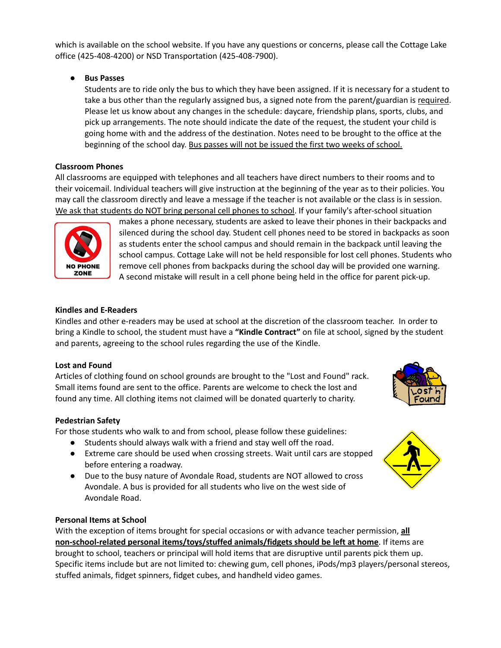which is available on the school website. If you have any questions or concerns, please call the Cottage Lake office (425-408-4200) or NSD Transportation (425-408-7900).

**● Bus Passes**

Students are to ride only the bus to which they have been assigned. If it is necessary for a student to take a bus other than the regularly assigned bus, a signed note from the parent/guardian is required. Please let us know about any changes in the schedule: daycare, friendship plans, sports, clubs, and pick up arrangements. The note should indicate the date of the request, the student your child is going home with and the address of the destination. Notes need to be brought to the office at the beginning of the school day. Bus passes will not be issued the first two weeks of school.

#### **Classroom Phones**

All classrooms are equipped with telephones and all teachers have direct numbers to their rooms and to their voicemail. Individual teachers will give instruction at the beginning of the year as to their policies. You may call the classroom directly and leave a message if the teacher is not available or the class is in session. We ask that students do NOT bring personal cell phones to school. If your family's after-school situation



makes a phone necessary, students are asked to leave their phones in their backpacks and silenced during the school day. Student cell phones need to be stored in backpacks as soon as students enter the school campus and should remain in the backpack until leaving the school campus. Cottage Lake will not be held responsible for lost cell phones. Students who remove cell phones from backpacks during the school day will be provided one warning. A second mistake will result in a cell phone being held in the office for parent pick-up.

#### **Kindles and E-Readers**

Kindles and other e-readers may be used at school at the discretion of the classroom teacher. In order to bring a Kindle to school, the student must have a **"Kindle Contract"** on file at school, signed by the student and parents, agreeing to the school rules regarding the use of the Kindle.

#### **Lost and Found**

Articles of clothing found on school grounds are brought to the "Lost and Found" rack. Small items found are sent to the office. Parents are welcome to check the lost and found any time. All clothing items not claimed will be donated quarterly to charity.

#### **Pedestrian Safety**

For those students who walk to and from school, please follow these guidelines:

- Students should always walk with a friend and stay well off the road.
- Extreme care should be used when crossing streets. Wait until cars are stopped before entering a roadway.
- Due to the busy nature of Avondale Road, students are NOT allowed to cross Avondale. A bus is provided for all students who live on the west side of Avondale Road.

#### **Personal Items at School**

With the exception of items brought for special occasions or with advance teacher permission, **all non-school-related personal items/toys/stuffed animals/fidgets should be left at home**. If items are brought to school, teachers or principal will hold items that are disruptive until parents pick them up. Specific items include but are not limited to: chewing gum, cell phones, iPods/mp3 players/personal stereos, stuffed animals, fidget spinners, fidget cubes, and handheld video games.